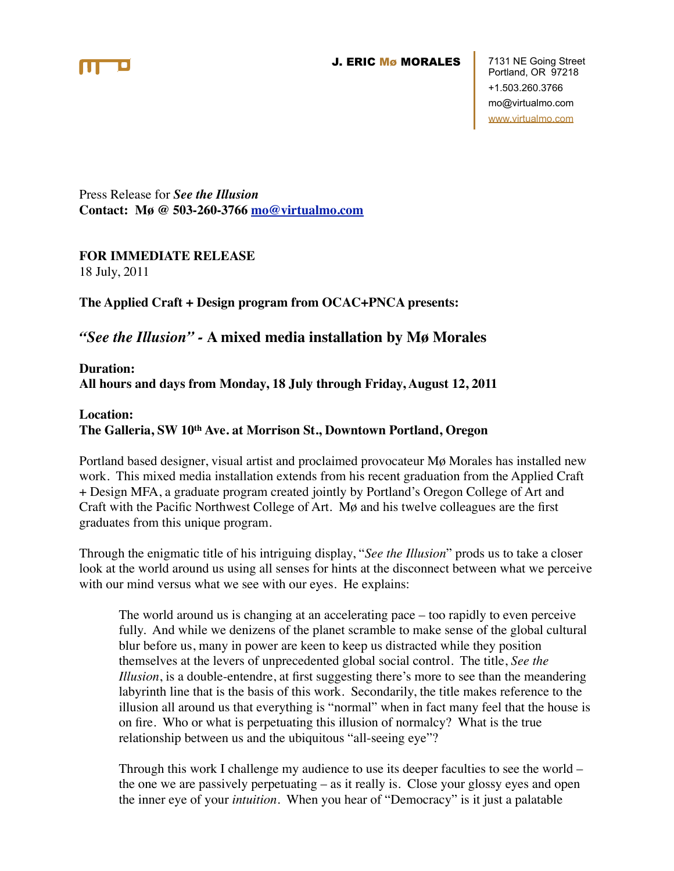

#### J. ERIC Mø MORALES

Press Release for *See the Illusion* **Contact: Mø @ 503-260-3766 [mo@virtualmo.com](mailto:mo@virtualmo.com)**

### **FOR IMMEDIATE RELEASE** 18 July, 2011

## **The Applied Craft + Design program from OCAC+PNCA presents:**

# *"See the Illusion" -* **A mixed media installation by Mø Morales**

**Duration: All hours and days from Monday, 18 July through Friday, August 12, 2011**

### **Location: The Galleria, SW 10th Ave. at Morrison St., Downtown Portland, Oregon**

Portland based designer, visual artist and proclaimed provocateur Mø Morales has installed new work. This mixed media installation extends from his recent graduation from the Applied Craft + Design MFA, a graduate program created jointly by Portland's Oregon College of Art and Craft with the Pacific Northwest College of Art. Mø and his twelve colleagues are the first graduates from this unique program.

Through the enigmatic title of his intriguing display, "*See the Illusion*" prods us to take a closer look at the world around us using all senses for hints at the disconnect between what we perceive with our mind versus what we see with our eyes. He explains:

The world around us is changing at an accelerating pace – too rapidly to even perceive fully. And while we denizens of the planet scramble to make sense of the global cultural blur before us, many in power are keen to keep us distracted while they position themselves at the levers of unprecedented global social control. The title, *See the Illusion*, is a double-entendre, at first suggesting there's more to see than the meandering labyrinth line that is the basis of this work. Secondarily, the title makes reference to the illusion all around us that everything is "normal" when in fact many feel that the house is on fire. Who or what is perpetuating this illusion of normalcy? What is the true relationship between us and the ubiquitous "all-seeing eye"?

Through this work I challenge my audience to use its deeper faculties to see the world – the one we are passively perpetuating – as it really is. Close your glossy eyes and open the inner eye of your *intuition*. When you hear of "Democracy" is it just a palatable